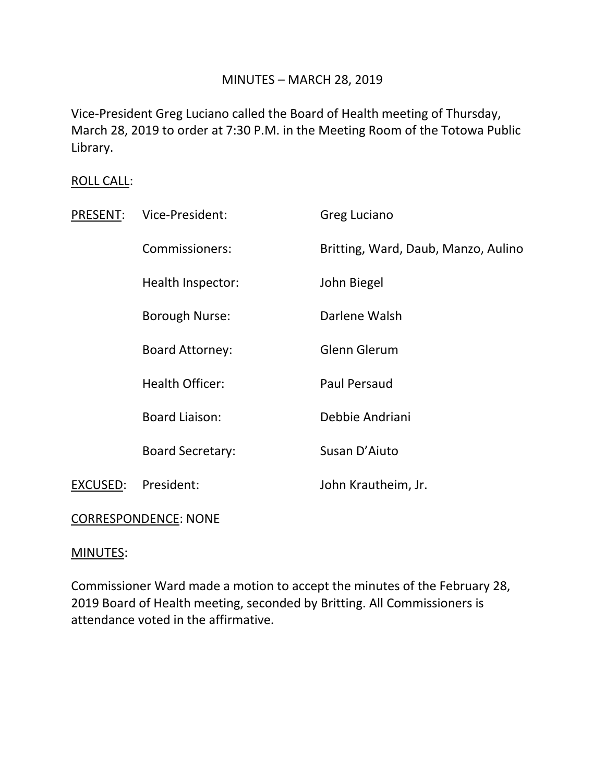# MINUTES – MARCH 28, 2019

Vice-President Greg Luciano called the Board of Health meeting of Thursday, March 28, 2019 to order at 7:30 P.M. in the Meeting Room of the Totowa Public Library.

### ROLL CALL:

| PRESENT: | Vice-President:         | Greg Luciano                        |
|----------|-------------------------|-------------------------------------|
|          | Commissioners:          | Britting, Ward, Daub, Manzo, Aulino |
|          | Health Inspector:       | John Biegel                         |
|          | <b>Borough Nurse:</b>   | Darlene Walsh                       |
|          | <b>Board Attorney:</b>  | Glenn Glerum                        |
|          | <b>Health Officer:</b>  | Paul Persaud                        |
|          | <b>Board Liaison:</b>   | Debbie Andriani                     |
|          | <b>Board Secretary:</b> | Susan D'Aiuto                       |
| EXCUSED: | President:              | John Krautheim, Jr.                 |
|          |                         |                                     |

# CORRESPONDENCE: NONE

### MINUTES:

Commissioner Ward made a motion to accept the minutes of the February 28, 2019 Board of Health meeting, seconded by Britting. All Commissioners is attendance voted in the affirmative.